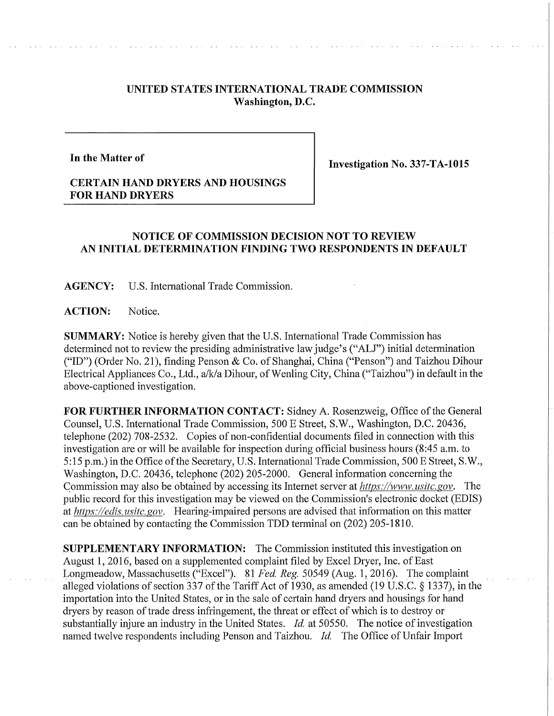## **UNITED STATES INTERNATIONAL TRADE COMMISSION Washington, D.C.**

## **In the Matter of**

**Investigation No. 337-TA-1015** 

## **CERTAIN HAND DRYERS AND HOUSINGS FOR HAND DRYERS**

## **NOTICE OF COMMISSION DECISION NOT TO REVIEW AN INITIAL DETERMINATION FINDING TWO RESPONDENTS IN DEFAULT**

**AGENCY:** U.S. International Trade Commission.

**ACTION:** Notice.

**SUMMARY:** Notice is hereby given that the U.S. International Trade Commission has determined not to review the presiding administrative law judge's ("ALJ") initial determination ("ID") (Order No. 21), finding Penson & Co. of Shanghai, China ("Penson") and Taizhou Dihour Electrical Appliances Co., Ltd., a/k/a Dihour, of Wenling City, China ("Taizhou") in default in the above-captioned investigation.

FOR FURTHER INFORMATION CONTACT: Sidney A. Rosenzweig, Office of the General Counsel, U.S. International Trade Commission, 500 E Street, S.W., Washington, D.C. 20436, telephone (202) 708-2532. Copies of non-confidential documents filed in connection with this investigation are or will be available for inspection during official business hours (8:45 a.m. to 5:15 p.m.) in the Office of the Secretary, U.S. International Trade Commission, 500 E Street, S.W., Washington, D.C. 20436, telephone (202) 205-2000. General information concerning the Commission may also be obtained by accessing its Internet server at *https://www.usitc.gov.* The public record for this investigation may be viewed on the Commission's electronic docket (EDIS) at *https://edis.usitc.gov.* Hearing-impaired persons are advised that information on this matter can be obtained by contacting the Commission TDD terminal on (202) 205-1810.

**SUPPLEMENTARY INFORMATION:** The Commission instituted this investigation on August 1, 2016, based on a supplemented complaint filed by Excel Dryer, Inc. of East Longmeadow, Massachusetts ("Excel"). 81 *Fed, Reg.* 50549 (Aug. 1, 2016). The complaint alleged violations of section 337 of the Tariff Act of 1930, as amended (19 U.S.C. § 1337), in the importation into the United States, or in the sale of certain hand dryers and housings for hand dryers by reason of trade dress infringement, the threat or effect of which is to destroy or substantially injure an industry in the United States. *Id.* at 50550. The notice of investigation named twelve respondents including Penson and Taizhou. *Id.* The Office of Unfair Import